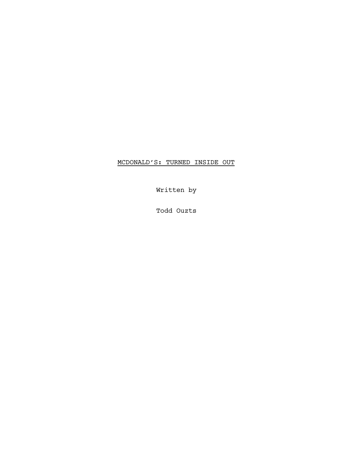MCDONALD'S: TURNED INSIDE OUT

Written by

Todd Ouzts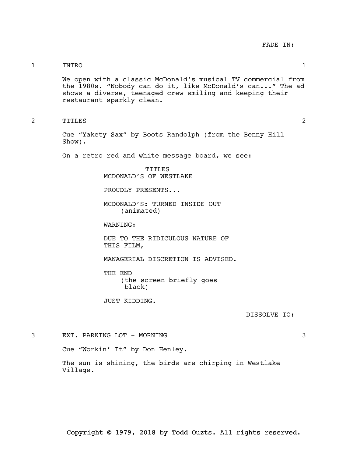# 1 INTRO 1

We open with a classic McDonald's musical TV commercial from the 1980s. "Nobody can do it, like McDonald's can..." The ad shows a diverse, teenaged crew smiling and keeping their restaurant sparkly clean.

2 TITLES 2

Cue "Yakety Sax" by Boots Randolph (from the Benny Hill Show).

On a retro red and white message board, we see:

TITLES MCDONALD'S OF WESTLAKE

PROUDLY PRESENTS...

MCDONALD'S: TURNED INSIDE OUT (animated)

WARNING:

DUE TO THE RIDICULOUS NATURE OF THIS FILM,

MANAGERIAL DISCRETION IS ADVISED.

THE END (the screen briefly goes black)

JUST KIDDING.

DISSOLVE TO:

3 EXT. PARKING LOT - MORNING 3

Cue "Workin' It" by Don Henley.

The sun is shining, the birds are chirping in Westlake Village.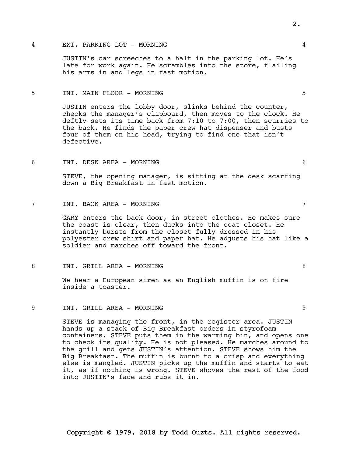### 4 EXT. PARKING LOT - MORNING 4

JUSTIN's car screeches to a halt in the parking lot. He's late for work again. He scrambles into the store, flailing his arms in and legs in fast motion.

#### 5 INT. MAIN FLOOR - MORNING 5

JUSTIN enters the lobby door, slinks behind the counter, checks the manager's clipboard, then moves to the clock. He deftly sets its time back from 7:10 to 7:00, then scurries to the back. He finds the paper crew hat dispenser and busts four of them on his head, trying to find one that isn't defective.

6 INT. DESK AREA - MORNING 6

STEVE, the opening manager, is sitting at the desk scarfing down a Big Breakfast in fast motion.

# 7 INT. BACK AREA - MORNING 7

GARY enters the back door, in street clothes. He makes sure the coast is clear, then ducks into the coat closet. He instantly bursts from the closet fully dressed in his polyester crew shirt and paper hat. He adjusts his hat like a soldier and marches off toward the front.

### 8 INT. GRILL AREA - MORNING 8

We hear a European siren as an English muffin is on fire inside a toaster.

# 9 INT. GRILL AREA - MORNING 9

STEVE is managing the front, in the register area. JUSTIN hands up a stack of Big Breakfast orders in styrofoam containers. STEVE puts them in the warming bin, and opens one to check its quality. He is not pleased. He marches around to the grill and gets JUSTIN's attention. STEVE shows him the Big Breakfast. The muffin is burnt to a crisp and everything else is mangled. JUSTIN picks up the muffin and starts to eat it, as if nothing is wrong. STEVE shoves the rest of the food into JUSTIN's face and rubs it in.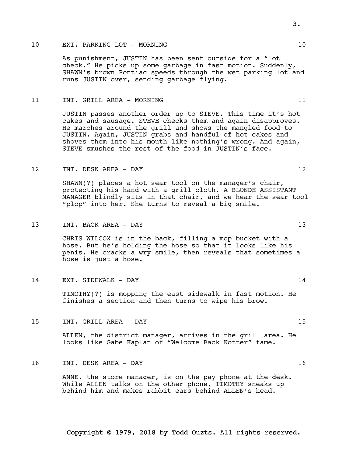# 10 EXT. PARKING LOT - MORNING 10 10

As punishment, JUSTIN has been sent outside for a "lot check." He picks up some garbage in fast motion. Suddenly, SHAWN's brown Pontiac speeds through the wet parking lot and runs JUSTIN over, sending garbage flying.

#### 11 INT. GRILL AREA - MORNING 11

JUSTIN passes another order up to STEVE. This time it's hot cakes and sausage. STEVE checks them and again disapproves. He marches around the grill and shows the mangled food to JUSTIN. Again, JUSTIN grabs and handful of hot cakes and shoves them into his mouth like nothing's wrong. And again, STEVE smushes the rest of the food in JUSTIN's face.

#### 12 INT. DESK AREA - DAY 12

SHAWN(?) places a hot sear tool on the manager's chair, protecting his hand with a grill cloth. A BLONDE ASSISTANT MANAGER blindly sits in that chair, and we hear the sear tool "plop" into her. She turns to reveal a big smile.

#### 13 INT. BACK AREA – DAY 13

CHRIS WILCOX is in the back, filling a mop bucket with a hose. But he's holding the hose so that it looks like his penis. He cracks a wry smile, then reveals that sometimes a hose is just a hose.

## 14 EXT. SIDEWALK - DAY 14

TIMOTHY(?) is mopping the east sidewalk in fast motion. He finishes a section and then turns to wipe his brow.

15 INT. GRILL AREA - DAY 15

ALLEN, the district manager, arrives in the grill area. He looks like Gabe Kaplan of "Welcome Back Kotter" fame.

#### 16 INT. DESK AREA - DAY 16

ANNE, the store manager, is on the pay phone at the desk. While ALLEN talks on the other phone, TIMOTHY sneaks up behind him and makes rabbit ears behind ALLEN's head.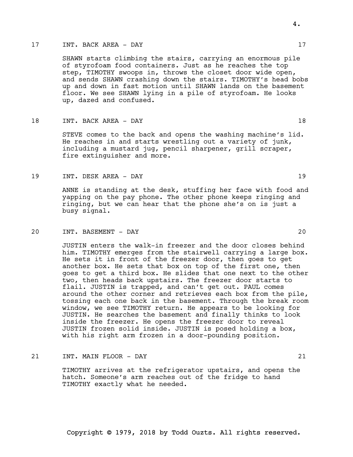### 17 INT. BACK AREA - DAY 17

SHAWN starts climbing the stairs, carrying an enormous pile of styrofoam food containers. Just as he reaches the top step, TIMOTHY swoops in, throws the closet door wide open, and sends SHAWN crashing down the stairs. TIMOTHY's head bobs up and down in fast motion until SHAWN lands on the basement floor. We see SHAWN lying in a pile of styrofoam. He looks up, dazed and confused.

# 18 INT. BACK AREA – DAY 18

STEVE comes to the back and opens the washing machine's lid. He reaches in and starts wrestling out a variety of junk, including a mustard jug, pencil sharpener, grill scraper, fire extinguisher and more.

# 19 INT. DESK AREA - DAY 19

ANNE is standing at the desk, stuffing her face with food and yapping on the pay phone. The other phone keeps ringing and ringing, but we can hear that the phone she's on is just a busy signal.

## 20 INT. BASEMENT - DAY 20

JUSTIN enters the walk-in freezer and the door closes behind him. TIMOTHY emerges from the stairwell carrying a large box. He sets it in front of the freezer door, then goes to get another box. He sets that box on top of the first one, then goes to get a third box. He slides that one next to the other two, then heads back upstairs. The freezer door starts to flail. JUSTIN is trapped, and can't get out. PAUL comes around the other corner and retrieves each box from the pile, tossing each one back in the basement. Through the break room window, we see TIMOTHY return. He appears to be looking for JUSTIN. He searches the basement and finally thinks to look inside the freezer. He opens the freezer door to reveal JUSTIN frozen solid inside. JUSTIN is posed holding a box, with his right arm frozen in a door-pounding position.

# 21 INT. MAIN FLOOR - DAY 21

TIMOTHY arrives at the refrigerator upstairs, and opens the hatch. Someone's arm reaches out of the fridge to hand TIMOTHY exactly what he needed.

# 4.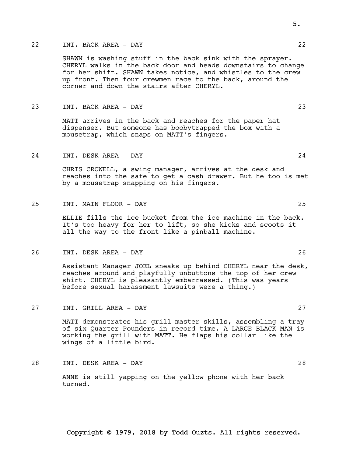#### 22 INT. BACK AREA - DAY 22

SHAWN is washing stuff in the back sink with the sprayer. CHERYL walks in the back door and heads downstairs to change for her shift. SHAWN takes notice, and whistles to the crew up front. Then four crewmen race to the back, around the corner and down the stairs after CHERYL.

23 INT. BACK AREA - DAY 23

MATT arrives in the back and reaches for the paper hat dispenser. But someone has boobytrapped the box with a mousetrap, which snaps on MATT's fingers.

24 INT. DESK AREA - DAY 24

CHRIS CROWELL, a swing manager, arrives at the desk and reaches into the safe to get a cash drawer. But he too is met by a mousetrap snapping on his fingers.

25 INT. MAIN FLOOR - DAY 25

ELLIE fills the ice bucket from the ice machine in the back. It's too heavy for her to lift, so she kicks and scoots it all the way to the front like a pinball machine.

26 INT. DESK AREA - DAY 26

Assistant Manager JOEL sneaks up behind CHERYL near the desk, reaches around and playfully unbuttons the top of her crew shirt. CHERYL is pleasantly embarrassed. (This was years before sexual harassment lawsuits were a thing.)

27 INT. GRILL AREA - DAY 27

MATT demonstrates his grill master skills, assembling a tray of six Quarter Pounders in record time. A LARGE BLACK MAN is working the grill with MATT. He flaps his collar like the wings of a little bird.

28 INT. DESK AREA - DAY 28

ANNE is still yapping on the yellow phone with her back turned.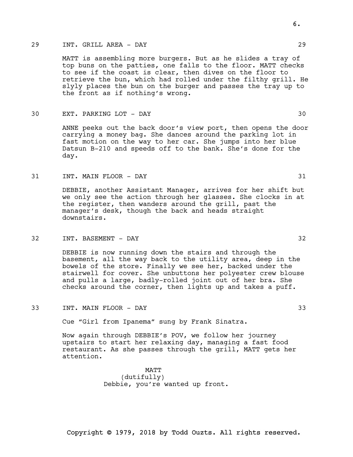# 29 INT. GRILL AREA - DAY 29

MATT is assembling more burgers. But as he slides a tray of top buns on the patties, one falls to the floor. MATT checks to see if the coast is clear, then dives on the floor to retrieve the bun, which had rolled under the filthy grill. He slyly places the bun on the burger and passes the tray up to the front as if nothing's wrong.

# 30 EXT. PARKING LOT - DAY 30

ANNE peeks out the back door's view port, then opens the door carrying a money bag. She dances around the parking lot in fast motion on the way to her car. She jumps into her blue Datsun B-210 and speeds off to the bank. She's done for the day.

#### 31 INT. MAIN FLOOR - DAY 31

DEBBIE, another Assistant Manager, arrives for her shift but we only see the action through her glasses. She clocks in at the register, then wanders around the grill, past the manager's desk, though the back and heads straight downstairs.

## 32 INT. BASEMENT - DAY 32

DEBBIE is now running down the stairs and through the basement, all the way back to the utility area, deep in the bowels of the store. Finally we see her, backed under the stairwell for cover. She unbuttons her polyester crew blouse and pulls a large, badly-rolled joint out of her bra. She checks around the corner, then lights up and takes a puff.

33 INT. MAIN FLOOR - DAY 33

Cue "Girl from Ipanema" sung by Frank Sinatra.

Now again through DEBBIE's POV, we follow her journey upstairs to start her relaxing day, managing a fast food restaurant. As she passes through the grill, MATT gets her attention.

> MATT (dutifully) Debbie, you're wanted up front.

Copyright © 1979, 2018 by Todd Ouzts. All rights reserved.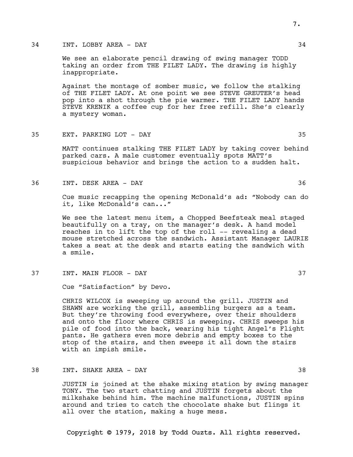# 34 INT. LOBBY AREA - DAY 34

We see an elaborate pencil drawing of swing manager TODD taking an order from THE FILET LADY. The drawing is highly inappropriate.

Against the montage of somber music, we follow the stalking of THE FILET LADY. At one point we see STEVE GREUTER's head pop into a shot through the pie warmer. THE FILET LADY hands STEVE KRENIK a coffee cup for her free refill. She's clearly a mystery woman.

35 EXT. PARKING LOT - DAY 35

MATT continues stalking THE FILET LADY by taking cover behind parked cars. A male customer eventually spots MATT's suspicious behavior and brings the action to a sudden halt.

36 INT. DESK AREA - DAY 36

Cue music recapping the opening McDonald's ad: "Nobody can do it, like McDonald's can..."

We see the latest menu item, a Chopped Beefsteak meal staged beautifully on a tray, on the manager's desk. A hand model reaches in to lift the top of the roll -- revealing a dead mouse stretched across the sandwich. Assistant Manager LAURIE takes a seat at the desk and starts eating the sandwich with a smile.

37 INT. MAIN FLOOR - DAY 37

Cue "Satisfaction" by Devo.

CHRIS WILCOX is sweeping up around the grill. JUSTIN and SHAWN are working the grill, assembling burgers as a team. But they're throwing food everywhere, over their shoulders and onto the floor where CHRIS is sweeping. CHRIS sweeps his pile of food into the back, wearing his tight Angel's Flight pants. He gathers even more debris and empty boxes to the stop of the stairs, and then sweeps it all down the stairs with an impish smile.

38 INT. SHAKE AREA - DAY 38

JUSTIN is joined at the shake mixing station by swing manager TONY. The two start chatting and JUSTIN forgets about the milkshake behind him. The machine malfunctions, JUSTIN spins around and tries to catch the chocolate shake but flings it all over the station, making a huge mess.

Copyright © 1979, 2018 by Todd Ouzts. All rights reserved.

7.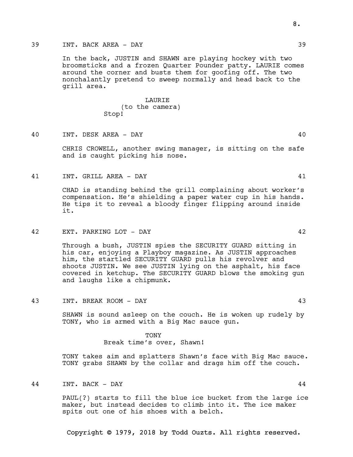# 39 INT. BACK AREA - DAY 39

In the back, JUSTIN and SHAWN are playing hockey with two broomsticks and a frozen Quarter Pounder patty. LAURIE comes around the corner and busts them for goofing off. The two nonchalantly pretend to sweep normally and head back to the grill area.

# LAURIE (to the camera) Stop!

40 INT. DESK AREA - DAY 40

CHRIS CROWELL, another swing manager, is sitting on the safe and is caught picking his nose.

41 INT. GRILL AREA - DAY 41

CHAD is standing behind the grill complaining about worker's compensation. He's shielding a paper water cup in his hands. He tips it to reveal a bloody finger flipping around inside it.

42 EXT. PARKING LOT - DAY 42

Through a bush, JUSTIN spies the SECURITY GUARD sitting in his car, enjoying a Playboy magazine. As JUSTIN approaches him, the startled SECURITY GUARD pulls his revolver and shoots JUSTIN. We see JUSTIN lying on the asphalt, his face covered in ketchup. The SECURITY GUARD blows the smoking gun and laughs like a chipmunk.

43 INT. BREAK ROOM - DAY 43

SHAWN is sound asleep on the couch. He is woken up rudely by TONY, who is armed with a Big Mac sauce gun.

> TONY Break time's over, Shawn!

TONY takes aim and splatters Shawn's face with Big Mac sauce. TONY grabs SHAWN by the collar and drags him off the couch.

44 INT. BACK - DAY 44

PAUL(?) starts to fill the blue ice bucket from the large ice maker, but instead decides to climb into it. The ice maker spits out one of his shoes with a belch.

Copyright © 1979, 2018 by Todd Ouzts. All rights reserved.

8.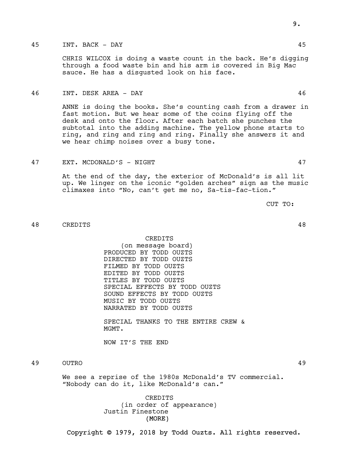# 45 INT. BACK - DAY 45

CHRIS WILCOX is doing a waste count in the back. He's digging through a food waste bin and his arm is covered in Big Mac sauce. He has a disgusted look on his face.

#### 46 INT. DESK AREA - DAY 46

ANNE is doing the books. She's counting cash from a drawer in fast motion. But we hear some of the coins flying off the desk and onto the floor. After each batch she punches the subtotal into the adding machine. The yellow phone starts to ring, and ring and ring and ring. Finally she answers it and we hear chimp noises over a busy tone.

47 EXT. MCDONALD'S - NIGHT 47

At the end of the day, the exterior of McDonald's is all lit up. We linger on the iconic "golden arches" sign as the music climaxes into "No, can't get me no, Sa-tis-fac-tion."

CUT TO:

48 CREDITS 48

CREDITS (on message board) PRODUCED BY TODD OUZTS DIRECTED BY TODD OUZTS FILMED BY TODD OUZTS EDITED BY TODD OUZTS TITLES BY TODD OUZTS SPECIAL EFFECTS BY TODD OUZTS SOUND EFFECTS BY TODD OUZTS MUSIC BY TODD OUZTS NARRATED BY TODD OUZTS

SPECIAL THANKS TO THE ENTIRE CREW & MGMT.

NOW IT'S THE END

49 OUTRO 49

We see a reprise of the 1980s McDonald's TV commercial. "Nobody can do it, like McDonald's can."

> (MORE) CREDITS (in order of appearance) Justin Finestone

Copyright © 1979, 2018 by Todd Ouzts. All rights reserved.